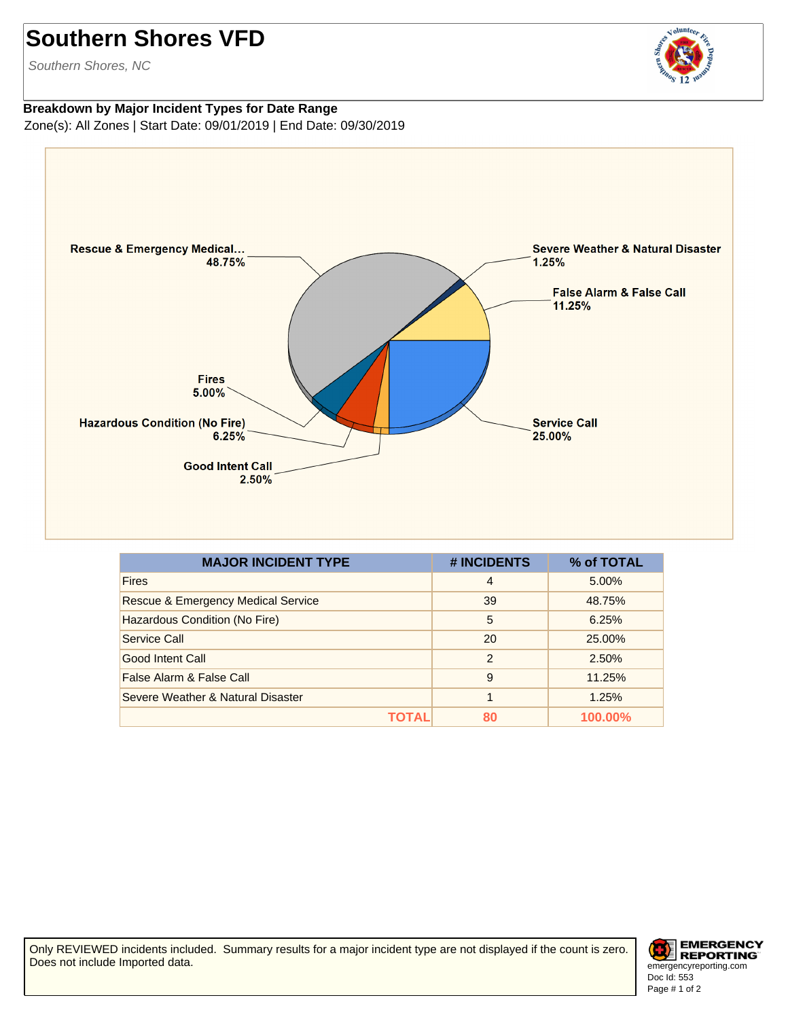## **Southern Shores VFD**

Southern Shores, NC

## volunteer

**Breakdown by Major Incident Types for Date Range** Zone(s): All Zones | Start Date: 09/01/2019 | End Date: 09/30/2019



| <b>MAJOR INCIDENT TYPE</b>                    | # INCIDENTS    | % of TOTAL |
|-----------------------------------------------|----------------|------------|
| <b>Fires</b>                                  | $\overline{4}$ | 5.00%      |
| <b>Rescue &amp; Emergency Medical Service</b> | 39             | 48.75%     |
| Hazardous Condition (No Fire)                 | 5              | 6.25%      |
| Service Call                                  | 20             | 25.00%     |
| Good Intent Call                              | $\mathcal{P}$  | 2.50%      |
| False Alarm & False Call                      | 9              | 11.25%     |
| Severe Weather & Natural Disaster             |                | 1.25%      |
| ΤΩΤΑΙ                                         | 80             | 100.00%    |

Only REVIEWED incidents included. Summary results for a major incident type are not displayed if the count is zero. Does not include Imported data.